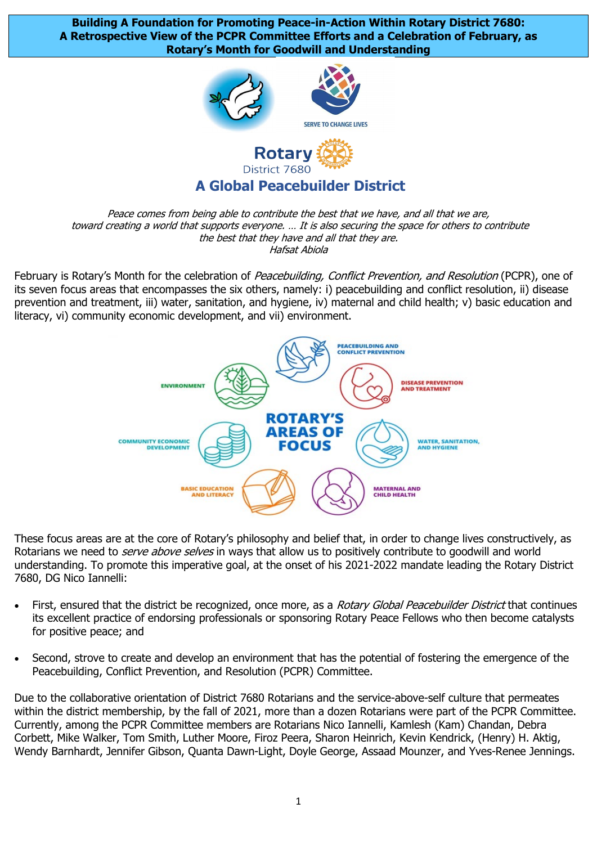**Building A Foundation for Promoting Peace-in-Action Within Rotary District 7680: A Retrospective View of the PCPR Committee Efforts and a Celebration of February, as Rotary's Month for Goodwill and Understanding**



## **A Global Peacebuilder District**

Peace comes from being able to contribute the best that we have, and all that we are, toward creating a world that supports everyone. … It is also securing the space for others to contribute the best that they have and all that they are. Hafsat Abiola

February is Rotary's Month for the celebration of Peacebuilding, Conflict Prevention, and Resolution (PCPR), one of its seven focus areas that encompasses the six others, namely: i) peacebuilding and conflict resolution, ii) disease prevention and treatment, iii) water, sanitation, and hygiene, iv) maternal and child health; v) basic education and literacy, vi) community economic development, and vii) environment.



These focus areas are at the core of Rotary's philosophy and belief that, in order to change lives constructively, as Rotarians we need to *serve above selves* in ways that allow us to positively contribute to goodwill and world understanding. To promote this imperative goal, at the onset of his 2021-2022 mandate leading the Rotary District 7680, DG Nico Iannelli:

- First, ensured that the district be recognized, once more, as a Rotary Global Peacebuilder District that continues its excellent practice of endorsing professionals or sponsoring Rotary Peace Fellows who then become catalysts for positive peace; and
- Second, strove to create and develop an environment that has the potential of fostering the emergence of the Peacebuilding, Conflict Prevention, and Resolution (PCPR) Committee.

Due to the collaborative orientation of District 7680 Rotarians and the service-above-self culture that permeates within the district membership, by the fall of 2021, more than a dozen Rotarians were part of the PCPR Committee. Currently, among the PCPR Committee members are Rotarians Nico Iannelli, Kamlesh (Kam) Chandan, Debra Corbett, Mike Walker, Tom Smith, Luther Moore, Firoz Peera, Sharon Heinrich, Kevin Kendrick, (Henry) H. Aktig, Wendy Barnhardt, Jennifer Gibson, Quanta Dawn-Light, Doyle George, Assaad Mounzer, and Yves-Renee Jennings.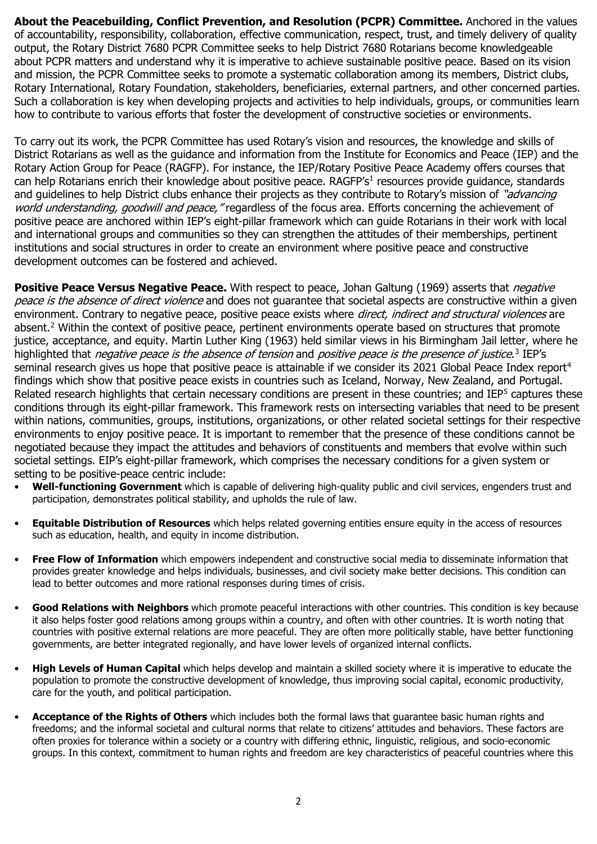**About the Peacebuilding, Conflict Prevention, and Resolution (PCPR) Committee.** Anchored in the values of accountability, responsibility, collaboration, effective communication, respect, trust, and timely delivery of quality output, the Rotary District 7680 PCPR Committee seeks to help District 7680 Rotarians become knowledgeable about PCPR matters and understand why it is imperative to achieve sustainable positive peace. Based on its vision and mission, the PCPR Committee seeks to promote a systematic collaboration among its members, District clubs, Rotary International, Rotary Foundation, stakeholders, beneficiaries, external partners, and other concerned parties. Such a collaboration is key when developing projects and activities to help individuals, groups, or communities learn how to contribute to various efforts that foster the development of constructive societies or environments.

To carry out its work, the PCPR Committee has used Rotary's vision and resources, the knowledge and skills of District Rotarians as well as the guidance and information from the Institute for Economics and Peace (IEP) and the Rotary Action Group for Peace (RAGFP). For instance, the IEP/Rotary Positive Peace Academy offers courses that can help Rotarians enrich their knowledge about positive peace. RAGFP's<sup>[1](#page-4-0)</sup> resources provide guidance, standards and guidelines to help District clubs enhance their projects as they contribute to Rotary's mission of "advancing world understanding, goodwill and peace, "regardless of the focus area. Efforts concerning the achievement of positive peace are anchored within IEP's eight-pillar framework which can guide Rotarians in their work with local and international groups and communities so they can strengthen the attitudes of their memberships, pertinent institutions and social structures in order to create an environment where positive peace and constructive development outcomes can be fostered and achieved.

**Positive Peace Versus Negative Peace.** With respect to peace, Johan Galtung (1969) asserts that *negative* peace is the absence of direct violence and does not quarantee that societal aspects are constructive within a given environment. Contrary to negative peace, positive peace exists where *direct, indirect and structural violences* are absent. [2](#page-4-1) Within the context of positive peace, pertinent environments operate based on structures that promote justice, acceptance, and equity. Martin Luther King (1963) held similar views in his [Birmingham Jail](https://en.wikipedia.org/wiki/Letter_from_Birmingham_Jail) letter, where he highlighted that *negative peace is the absence of tension* and *positive peace is the presence of justice*.<sup>[3](#page-4-2)</sup> IEP's seminal research gives us hope that positive peace is attainable if we consider its 2021 Global Peace Index report<sup>[4](#page-4-3)</sup> findings which show that positive peace exists in countries such as Iceland, Norway, New Zealand, and Portugal. Related research highlights that certain necessary conditions are present in these countries; and IEP<sup>[5](#page-4-4)</sup> captures these conditions through its eight-pillar framework. This framework rests on intersecting variables that need to be present within nations, communities, groups, institutions, organizations, or other related societal settings for their respective environments to enjoy positive peace. It is important to remember that the presence of these conditions cannot be negotiated because they impact the attitudes and behaviors of constituents and members that evolve within such societal settings. EIP's eight-pillar framework, which comprises the necessary conditions for a given system or setting to be positive-peace centric include:

- **Well-functioning Government** which is capable of delivering high-quality public and civil services, engenders trust and participation, demonstrates political stability, and upholds the rule of law.
- **Equitable Distribution of Resources** which helps related governing entities ensure equity in the access of resources such as education, health, and equity in income distribution.
- **Free Flow of Information** which empowers independent and constructive social media to disseminate information that provides greater knowledge and helps individuals, businesses, and civil society make better decisions. This condition can lead to better outcomes and more rational responses during times of crisis.
- **Good Relations with Neighbors** which promote peaceful interactions with other countries. This condition is key because it also helps foster good relations among groups within a country, and often with other countries. It is worth noting that countries with positive external relations are more peaceful. They are often more politically stable, have better functioning governments, are better integrated regionally, and have lower levels of organized internal conflicts.
- **High Levels of Human Capital** which helps develop and maintain a skilled society where it is imperative to educate the population to promote the constructive development of knowledge, thus improving social capital, economic productivity, care for the youth, and political participation.
- **Acceptance of the Rights of Others** which includes both the formal laws that guarantee basic human rights and freedoms; and the informal societal and cultural norms that relate to citizens' attitudes and behaviors. These factors are often proxies for tolerance within a society or a country with differing ethnic, linguistic, religious, and socio-economic groups. In this context, commitment to human rights and freedom are key characteristics of peaceful countries where this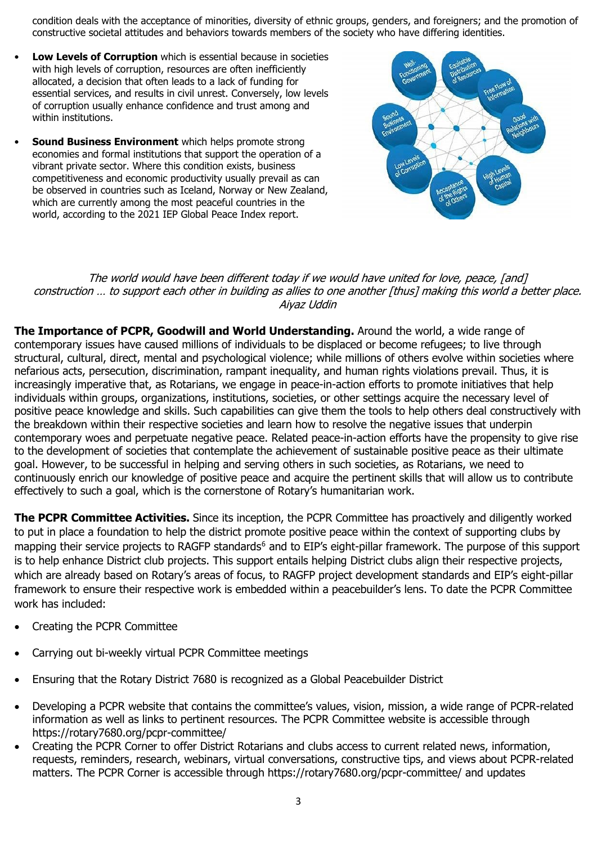condition deals with the acceptance of minorities, diversity of ethnic groups, genders, and foreigners; and the promotion of constructive societal attitudes and behaviors towards members of the society who have differing identities.

- **Low Levels of Corruption** which is essential because in societies with high levels of corruption, resources are often inefficiently allocated, a decision that often leads to a lack of funding for essential services, and results in civil unrest. Conversely, low levels of corruption usually enhance confidence and trust among and within institutions.
- **Sound Business Environment** which helps promote strong economies and formal institutions that support the operation of a vibrant private sector. Where this condition exists, business competitiveness and economic productivity usually prevail as can be observed in countries such as Iceland, Norway or New Zealand, which are currently among the most peaceful countries in the world, according to the 2021 IEP Global Peace Index report.



## The world would have been different today if we would have united for love, peace, [and] construction … to support each other in building as allies to one another [thus] making this world a better place. Aiyaz Uddin

**The Importance of PCPR, Goodwill and World Understanding.** Around the world, a wide range of contemporary issues have caused millions of individuals to be displaced or become refugees; to live through structural, cultural, direct, mental and psychological violence; while millions of others evolve within societies where nefarious acts, persecution, discrimination, rampant inequality, and human rights violations prevail. Thus, it is increasingly imperative that, as Rotarians, we engage in peace-in-action efforts to promote initiatives that help individuals within groups, organizations, institutions, societies, or other settings acquire the necessary level of positive peace knowledge and skills. Such capabilities can give them the tools to help others deal constructively with the breakdown within their respective societies and learn how to resolve the negative issues that underpin contemporary woes and perpetuate negative peace. Related peace-in-action efforts have the propensity to give rise to the development of societies that contemplate the achievement of sustainable positive peace as their ultimate goal. However, to be successful in helping and serving others in such societies, as Rotarians, we need to continuously enrich our knowledge of positive peace and acquire the pertinent skills that will allow us to contribute effectively to such a goal, which is the cornerstone of Rotary's humanitarian work.

**The PCPR Committee Activities.** Since its inception, the PCPR Committee has proactively and diligently worked to put in place a foundation to help the district promote positive peace within the context of supporting clubs by mapping their service projects to RAGFP standards<sup>[6](#page-4-5)</sup> and to EIP's eight-pillar framework. The purpose of this support is to help enhance District club projects. This support entails helping District clubs align their respective projects, which are already based on Rotary's areas of focus, to RAGFP project development standards and EIP's eight-pillar framework to ensure their respective work is embedded within a peacebuilder's lens. To date the PCPR Committee work has included:

- Creating the PCPR Committee
- Carrying out bi-weekly virtual PCPR Committee meetings
- Ensuring that the Rotary District 7680 is recognized as a Global Peacebuilder District
- Developing a PCPR website that contains the committee's values, vision, mission, a wide range of PCPR-related information as well as links to pertinent resources. The PCPR Committee website is accessible through https://rotary7680.org/pcpr-committee/
- Creating the PCPR Corner to offer District Rotarians and clubs access to current related news, information, requests, reminders, research, webinars, virtual conversations, constructive tips, and views about PCPR-related matters. The PCPR Corner is accessible through https://rotary7680.org/pcpr-committee/ and updates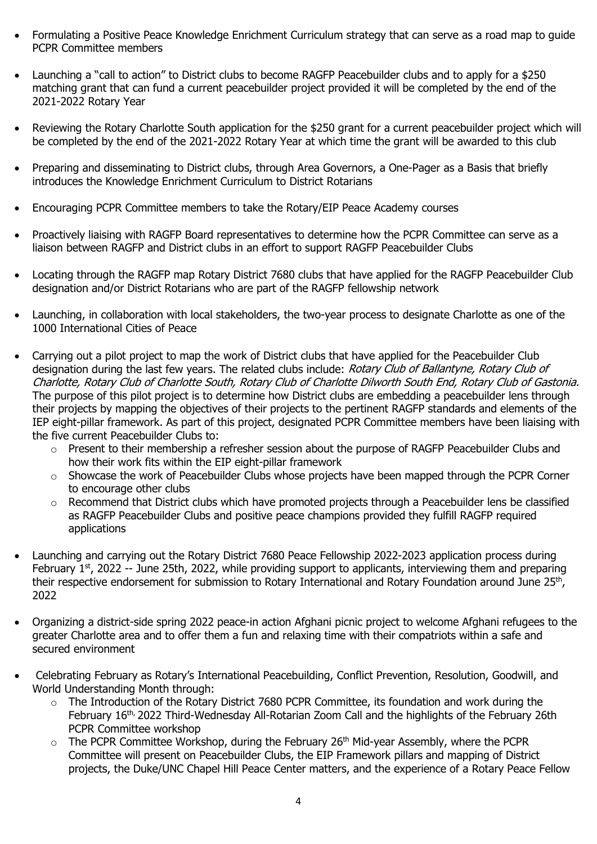- Formulating a Positive Peace Knowledge Enrichment Curriculum strategy that can serve as a road map to guide PCPR Committee members
- Launching a "call to action" to District clubs to become RAGFP Peacebuilder clubs and to apply for a \$250 matching grant that can fund a current peacebuilder project provided it will be completed by the end of the 2021-2022 Rotary Year
- Reviewing the Rotary Charlotte South application for the \$250 grant for a current peacebuilder project which will be completed by the end of the 2021-2022 Rotary Year at which time the grant will be awarded to this club
- Preparing and disseminating to District clubs, through Area Governors, a One-Pager as a Basis that briefly introduces the Knowledge Enrichment Curriculum to District Rotarians
- Encouraging PCPR Committee members to take the Rotary/EIP Peace Academy courses
- Proactively liaising with RAGFP Board representatives to determine how the PCPR Committee can serve as a liaison between RAGFP and District clubs in an effort to support RAGFP Peacebuilder Clubs
- Locating through the RAGFP map Rotary District 7680 clubs that have applied for the RAGFP Peacebuilder Club designation and/or District Rotarians who are part of the RAGFP fellowship network
- Launching, in collaboration with local stakeholders, the two-year process to designate Charlotte as one of the 1000 International Cities of Peace
- Carrying out a pilot project to map the work of District clubs that have applied for the Peacebuilder Club designation during the last few years. The related clubs include: Rotary Club of Ballantyne, Rotary Club of Charlotte, Rotary Club of Charlotte South, Rotary Club of Charlotte Dilworth South End, Rotary Club of Gastonia. The purpose of this pilot project is to determine how District clubs are embedding a peacebuilder lens through their projects by mapping the objectives of their projects to the pertinent RAGFP standards and elements of the IEP eight-pillar framework. As part of this project, designated PCPR Committee members have been liaising with the five current Peacebuilder Clubs to:
	- o Present to their membership a refresher session about the purpose of RAGFP Peacebuilder Clubs and how their work fits within the EIP eight-pillar framework
	- $\circ$  Showcase the work of Peacebuilder Clubs whose projects have been mapped through the PCPR Corner to encourage other clubs
	- o Recommend that District clubs which have promoted projects through a Peacebuilder lens be classified as RAGFP Peacebuilder Clubs and positive peace champions provided they fulfill RAGFP required applications
- Launching and carrying out the Rotary District 7680 Peace Fellowship 2022-2023 application process during February 1<sup>st</sup>, 2022 -- June 25th, 2022, while providing support to applicants, interviewing them and preparing their respective endorsement for submission to Rotary International and Rotary Foundation around June 25<sup>th</sup>, 2022
- Organizing a district-side spring 2022 peace-in action Afghani picnic project to welcome Afghani refugees to the greater Charlotte area and to offer them a fun and relaxing time with their compatriots within a safe and secured environment
- Celebrating February as Rotary's International Peacebuilding, Conflict Prevention, Resolution, Goodwill, and World Understanding Month through:
	- o The Introduction of the Rotary District 7680 PCPR Committee, its foundation and work during the February 16<sup>th,</sup> 2022 Third-Wednesday All-Rotarian Zoom Call and the highlights of the February 26th PCPR Committee workshop
	- $\circ$  The PCPR Committee Workshop, during the February 26<sup>th</sup> Mid-year Assembly, where the PCPR Committee will present on Peacebuilder Clubs, the EIP Framework pillars and mapping of District projects, the Duke/UNC Chapel Hill Peace Center matters, and the experience of a Rotary Peace Fellow